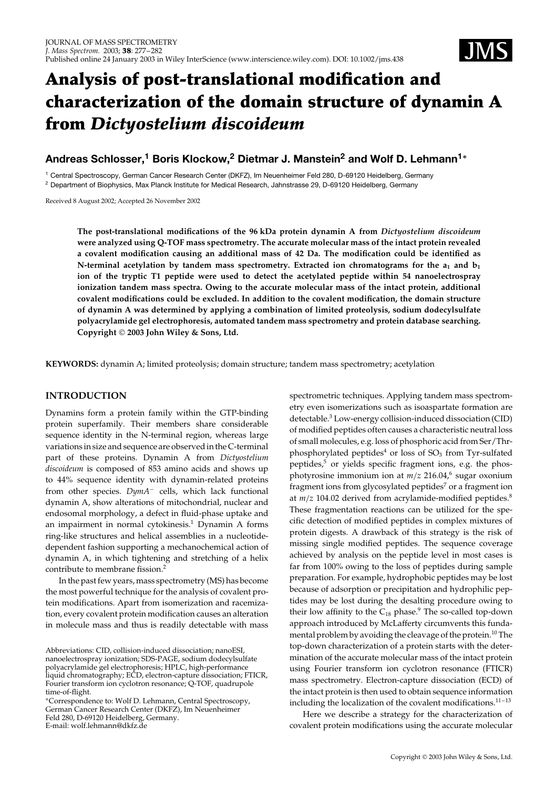

# **Analysis of post-translational modification and characterization of the domain structure of dynamin A from** *Dictyostelium discoideum*

# **Andreas Schlosser,<sup>1</sup> Boris Klockow,<sup>2</sup> Dietmar J. Manstein2 and Wolf D. Lehmann1***<sup>∗</sup>*

<sup>1</sup> Central Spectroscopy, German Cancer Research Center (DKFZ), Im Neuenheimer Feld 280, D-69120 Heidelberg, Germany <sup>2</sup> Department of Biophysics, Max Planck Institute for Medical Research, Jahnstrasse 29, D-69120 Heidelberg, Germany

Received 8 August 2002; Accepted 26 November 2002

**The post-translational modifications of the 96 kDa protein dynamin A from** *Dictyostelium discoideum* **were analyzed using Q-TOF mass spectrometry. The accurate molecular mass of the intact protein revealed a covalent modification causing an additional mass of 42 Da. The modification could be identified as N-terminal acetylation by tandem mass spectrometry. Extracted ion chromatograms for the**  $a_1$  **and**  $b_1$ **ion of the tryptic T1 peptide were used to detect the acetylated peptide within 54 nanoelectrospray ionization tandem mass spectra. Owing to the accurate molecular mass of the intact protein, additional covalent modifications could be excluded. In addition to the covalent modification, the domain structure of dynamin A was determined by applying a combination of limited proteolysis, sodium dodecylsulfate polyacrylamide gel electrophoresis, automated tandem mass spectrometry and protein database searching. Copyright 2003 John Wiley & Sons, Ltd.**

**KEYWORDS:** dynamin A; limited proteolysis; domain structure; tandem mass spectrometry; acetylation

# **INTRODUCTION**

Dynamins form a protein family within the GTP-binding protein superfamily. Their members share considerable sequence identity in the N-terminal region, whereas large variations in size and sequence are observed in the C-terminal part of these proteins. Dynamin A from *Dictyostelium discoideum* is composed of 853 amino acids and shows up to 44% sequence identity with dynamin-related proteins from other species. *DymA*<sup>-</sup> cells, which lack functional dynamin A, show alterations of mitochondrial, nuclear and endosomal morphology, a defect in fluid-phase uptake and an impairment in normal cytokinesis.<sup>1</sup> Dynamin A forms ring-like structures and helical assemblies in a nucleotidedependent fashion supporting a mechanochemical action of dynamin A, in which tightening and stretching of a helix contribute to membrane fission.<sup>2</sup>

In the past few years, mass spectrometry (MS) has become the most powerful technique for the analysis of covalent protein modifications. Apart from isomerization and racemization, every covalent protein modification causes an alteration in molecule mass and thus is readily detectable with mass spectrometric techniques. Applying tandem mass spectrometry even isomerizations such as isoaspartate formation are detectable.<sup>3</sup> Low-energy collision-induced dissociation (CID) of modified peptides often causes a characteristic neutral loss of small molecules, e.g. loss of phosphoric acid from Ser/Thrphosphorylated peptides<sup>4</sup> or loss of  $SO<sub>3</sub>$  from Tyr-sulfated peptides,<sup>5</sup> or yields specific fragment ions, e.g. the phosphotyrosine immonium ion at  $m/z$  216.04,<sup>6</sup> sugar oxonium fragment ions from glycosylated peptides<sup>7</sup> or a fragment ion at  $m/z$  104.02 derived from acrylamide-modified peptides.<sup>8</sup> These fragmentation reactions can be utilized for the specific detection of modified peptides in complex mixtures of protein digests. A drawback of this strategy is the risk of missing single modified peptides. The sequence coverage achieved by analysis on the peptide level in most cases is far from 100% owing to the loss of peptides during sample preparation. For example, hydrophobic peptides may be lost because of adsorption or precipitation and hydrophilic peptides may be lost during the desalting procedure owing to their low affinity to the  $C_{18}$  phase.<sup>9</sup> The so-called top-down approach introduced by McLafferty circumvents this fundamental problem by avoiding the cleavage of the protein.<sup>10</sup> The top-down characterization of a protein starts with the determination of the accurate molecular mass of the intact protein using Fourier transform ion cyclotron resonance (FTICR) mass spectrometry. Electron-capture dissociation (ECD) of the intact protein is then used to obtain sequence information including the localization of the covalent modifications. $11-13$ 

Here we describe a strategy for the characterization of covalent protein modifications using the accurate molecular

Abbreviations: CID, collision-induced dissociation; nanoESI, nanoelectrospray ionization; SDS-PAGE, sodium dodecylsulfate polyacrylamide gel electrophoresis; HPLC, high-performance liquid chromatography; ECD, electron-capture dissociation; FTICR, Fourier transform ion cyclotron resonance; Q-TOF, quadrupole time-of-flight.

<sup>Ł</sup>Correspondence to: Wolf D. Lehmann, Central Spectroscopy, German Cancer Research Center (DKFZ), Im Neuenheimer Feld 280, D-69120 Heidelberg, Germany. E-mail: wolf.lehmann@dkfz.de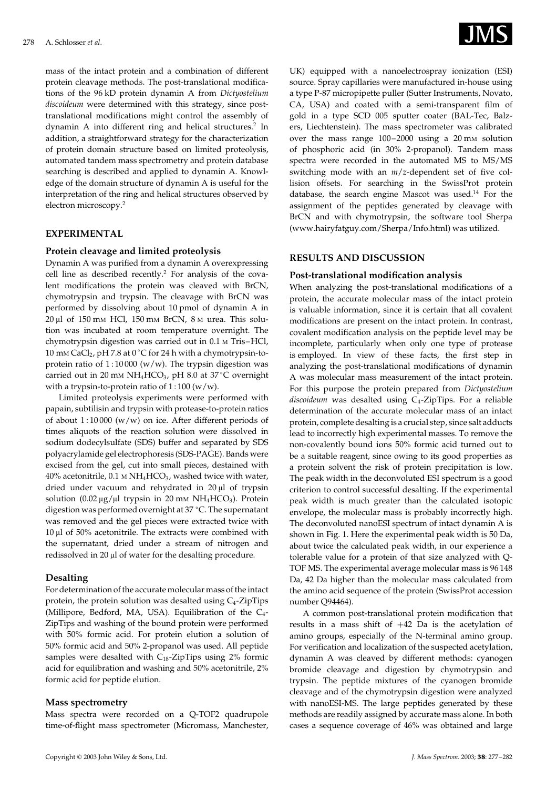mass of the intact protein and a combination of different protein cleavage methods. The post-translational modifications of the 96 kD protein dynamin A from *Dictyostelium discoideum* were determined with this strategy, since posttranslational modifications might control the assembly of dynamin A into different ring and helical structures.2 In addition, a straightforward strategy for the characterization of protein domain structure based on limited proteolysis, automated tandem mass spectrometry and protein database searching is described and applied to dynamin A. Knowledge of the domain structure of dynamin A is useful for the interpretation of the ring and helical structures observed by electron microscopy.2

# **EXPERIMENTAL**

#### **Protein cleavage and limited proteolysis**

Dynamin A was purified from a dynamin A overexpressing cell line as described recently.<sup>2</sup> For analysis of the covalent modifications the protein was cleaved with BrCN, chymotrypsin and trypsin. The cleavage with BrCN was performed by dissolving about 10 pmol of dynamin A in 20 µl of 150 mM HCl, 150 mM BrCN, 8 M urea. This solution was incubated at room temperature overnight. The chymotrypsin digestion was carried out in 0.1 M Tris–HCl, 10 mm CaCl<sub>2</sub>, pH 7.8 at 0 °C for 24 h with a chymotrypsin-toprotein ratio of  $1:10000$  (w/w). The trypsin digestion was carried out in 20 mm NH<sub>4</sub>HCO<sub>3</sub>, pH 8.0 at 37 °C overnight with a trypsin-to-protein ratio of  $1:100 (w/w)$ .

Limited proteolysis experiments were performed with papain, subtilisin and trypsin with protease-to-protein ratios of about  $1:10000 \frac{(w/w)}{w}$  on ice. After different periods of times aliquots of the reaction solution were dissolved in sodium dodecylsulfate (SDS) buffer and separated by SDS polyacrylamide gel electrophoresis (SDS-PAGE). Bands were excised from the gel, cut into small pieces, destained with  $40\%$  acetonitrile,  $0.1 \text{ M} \text{NH}_4 \text{HCO}_3$ , washed twice with water, dried under vacuum and rehydrated in 20 µl of trypsin solution  $(0.02 \mu g/\mu l$  trypsin in 20 mm NH<sub>4</sub>HCO<sub>3</sub>). Protein digestion was performed overnight at 37 °C. The supernatant was removed and the gel pieces were extracted twice with  $10 \mu$ l of 50% acetonitrile. The extracts were combined with the supernatant, dried under a stream of nitrogen and redissolved in 20 µl of water for the desalting procedure.

#### **Desalting**

For determination of the accurate molecular mass of the intact protein, the protein solution was desalted using  $C_4$ -ZipTips (Millipore, Bedford, MA, USA). Equilibration of the C4- ZipTips and washing of the bound protein were performed with 50% formic acid. For protein elution a solution of 50% formic acid and 50% 2-propanol was used. All peptide samples were desalted with  $C_{18}$ -ZipTips using 2% formic acid for equilibration and washing and 50% acetonitrile, 2% formic acid for peptide elution.

#### **Mass spectrometry**

Mass spectra were recorded on a Q-TOF2 quadrupole time-of-flight mass spectrometer (Micromass, Manchester,



UK) equipped with a nanoelectrospray ionization (ESI) source. Spray capillaries were manufactured in-house using a type P-87 micropipette puller (Sutter Instruments, Novato, CA, USA) and coated with a semi-transparent film of gold in a type SCD 005 sputter coater (BAL-Tec, Balzers, Liechtenstein). The mass spectrometer was calibrated over the mass range 100-2000 using a 20 mm solution of phosphoric acid (in 30% 2-propanol). Tandem mass spectra were recorded in the automated MS to MS/MS switching mode with an *m*/*z*-dependent set of five collision offsets. For searching in the SwissProt protein database, the search engine Mascot was used.<sup>14</sup> For the assignment of the peptides generated by cleavage with BrCN and with chymotrypsin, the software tool Sherpa (www.hairyfatguy.com/Sherpa/Info.html) was utilized.

#### **RESULTS AND DISCUSSION**

#### **Post-translational modification analysis**

When analyzing the post-translational modifications of a protein, the accurate molecular mass of the intact protein is valuable information, since it is certain that all covalent modifications are present on the intact protein. In contrast, covalent modification analysis on the peptide level may be incomplete, particularly when only one type of protease is employed. In view of these facts, the first step in analyzing the post-translational modifications of dynamin A was molecular mass measurement of the intact protein. For this purpose the protein prepared from *Dictyostelium* discoideum was desalted using C<sub>4</sub>-ZipTips. For a reliable determination of the accurate molecular mass of an intact protein, complete desalting is a crucial step, since salt adducts lead to incorrectly high experimental masses. To remove the non-covalently bound ions 50% formic acid turned out to be a suitable reagent, since owing to its good properties as a protein solvent the risk of protein precipitation is low. The peak width in the deconvoluted ESI spectrum is a good criterion to control successful desalting. If the experimental peak width is much greater than the calculated isotopic envelope, the molecular mass is probably incorrectly high. The deconvoluted nanoESI spectrum of intact dynamin A is shown in Fig. 1. Here the experimental peak width is 50 Da, about twice the calculated peak width, in our experience a tolerable value for a protein of that size analyzed with Q-TOF MS. The experimental average molecular mass is 96 148 Da, 42 Da higher than the molecular mass calculated from the amino acid sequence of the protein (SwissProt accession number Q94464).

A common post-translational protein modification that results in a mass shift of  $+42$  Da is the acetylation of amino groups, especially of the N-terminal amino group. For verification and localization of the suspected acetylation, dynamin A was cleaved by different methods: cyanogen bromide cleavage and digestion by chymotrypsin and trypsin. The peptide mixtures of the cyanogen bromide cleavage and of the chymotrypsin digestion were analyzed with nanoESI-MS. The large peptides generated by these methods are readily assigned by accurate mass alone. In both cases a sequence coverage of 46% was obtained and large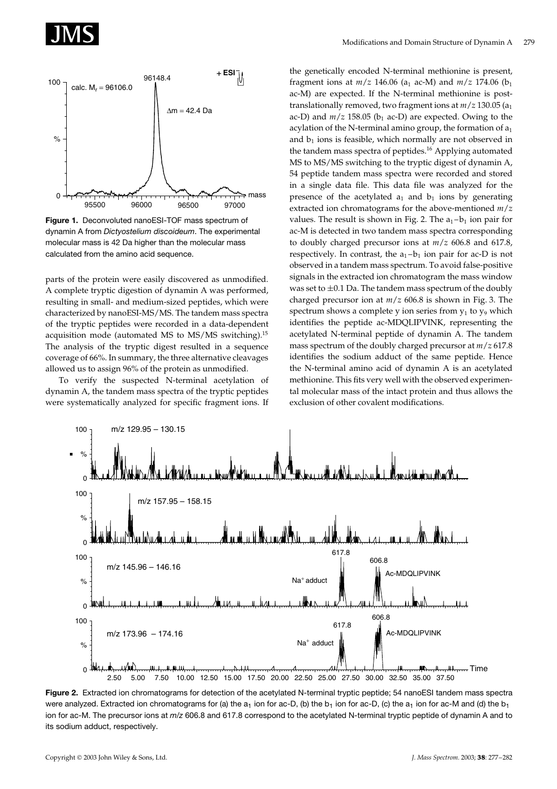



**Figure 1.** Deconvoluted nanoESI-TOF mass spectrum of dynamin A from *Dictyostelium discoideum*. The experimental molecular mass is 42 Da higher than the molecular mass calculated from the amino acid sequence.

parts of the protein were easily discovered as unmodified. A complete tryptic digestion of dynamin A was performed, resulting in small- and medium-sized peptides, which were characterized by nanoESI-MS/MS. The tandem mass spectra of the tryptic peptides were recorded in a data-dependent acquisition mode (automated MS to MS/MS switching).15 The analysis of the tryptic digest resulted in a sequence coverage of 66%. In summary, the three alternative cleavages allowed us to assign 96% of the protein as unmodified.

To verify the suspected N-terminal acetylation of dynamin A, the tandem mass spectra of the tryptic peptides were systematically analyzed for specific fragment ions. If the genetically encoded N-terminal methionine is present, fragment ions at  $m/z$  146.06 (a<sub>1</sub> ac-M) and  $m/z$  174.06 (b<sub>1</sub> ac-M) are expected. If the N-terminal methionine is posttranslationally removed, two fragment ions at  $m/z$  130.05 ( $a_1$ ac-D) and  $m/z$  158.05 ( $b_1$  ac-D) are expected. Owing to the acylation of the N-terminal amino group, the formation of  $a_1$ and  $b_1$  ions is feasible, which normally are not observed in the tandem mass spectra of peptides.<sup>16</sup> Applying automated MS to MS/MS switching to the tryptic digest of dynamin A, 54 peptide tandem mass spectra were recorded and stored in a single data file. This data file was analyzed for the presence of the acetylated  $a_1$  and  $b_1$  ions by generating extracted ion chromatograms for the above-mentioned *m*/*z* values. The result is shown in Fig. 2. The  $a_1-b_1$  ion pair for ac-M is detected in two tandem mass spectra corresponding to doubly charged precursor ions at *m*/*z* 606.8 and 617.8, respectively. In contrast, the  $a_1-b_1$  ion pair for ac-D is not observed in a tandem mass spectrum. To avoid false-positive signals in the extracted ion chromatogram the mass window was set to  $\pm 0.1$  Da. The tandem mass spectrum of the doubly charged precursor ion at *m*/*z* 606.8 is shown in Fig. 3. The spectrum shows a complete y ion series from  $y_1$  to  $y_9$  which identifies the peptide ac-MDQLIPVINK, representing the acetylated N-terminal peptide of dynamin A. The tandem mass spectrum of the doubly charged precursor at *m*/*z* 617.8 identifies the sodium adduct of the same peptide. Hence the N-terminal amino acid of dynamin A is an acetylated methionine. This fits very well with the observed experimental molecular mass of the intact protein and thus allows the exclusion of other covalent modifications.



**Figure 2.** Extracted ion chromatograms for detection of the acetylated N-terminal tryptic peptide; 54 nanoESI tandem mass spectra were analyzed. Extracted ion chromatograms for (a) the  $a_1$  ion for ac-D, (b) the  $b_1$  ion for ac-D, (c) the  $a_1$  ion for ac-M and (d) the  $b_1$ ion for ac-M. The precursor ions at *m*/*z* 606.8 and 617.8 correspond to the acetylated N-terminal tryptic peptide of dynamin A and to its sodium adduct, respectively.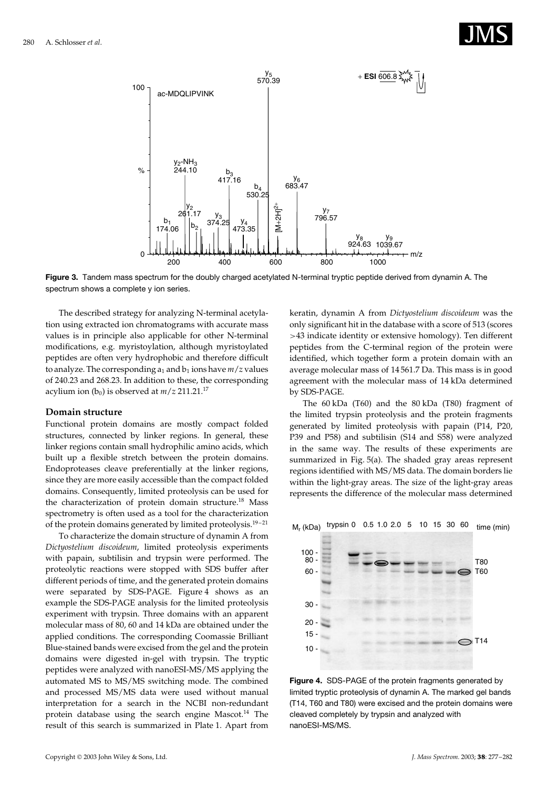



**Figure 3.** Tandem mass spectrum for the doubly charged acetylated N-terminal tryptic peptide derived from dynamin A. The spectrum shows a complete y ion series.

The described strategy for analyzing N-terminal acetylation using extracted ion chromatograms with accurate mass values is in principle also applicable for other N-terminal modifications, e.g. myristoylation, although myristoylated peptides are often very hydrophobic and therefore difficult to analyze. The corresponding  $a_1$  and  $b_1$  ions have  $m/z$  values of 240.23 and 268.23. In addition to these, the corresponding acylium ion ( $b_0$ ) is observed at  $m/z$  211.21.<sup>17</sup>

#### **Domain structure**

Functional protein domains are mostly compact folded structures, connected by linker regions. In general, these linker regions contain small hydrophilic amino acids, which built up a flexible stretch between the protein domains. Endoproteases cleave preferentially at the linker regions, since they are more easily accessible than the compact folded domains. Consequently, limited proteolysis can be used for the characterization of protein domain structure.<sup>18</sup> Mass spectrometry is often used as a tool for the characterization of the protein domains generated by limited proteolysis.<sup>19-21</sup>

To characterize the domain structure of dynamin A from *Dictyostelium discoideum*, limited proteolysis experiments with papain, subtilisin and trypsin were performed. The proteolytic reactions were stopped with SDS buffer after different periods of time, and the generated protein domains were separated by SDS-PAGE. Figure 4 shows as an example the SDS-PAGE analysis for the limited proteolysis experiment with trypsin. Three domains with an apparent molecular mass of 80, 60 and 14 kDa are obtained under the applied conditions. The corresponding Coomassie Brilliant Blue-stained bands were excised from the gel and the protein domains were digested in-gel with trypsin. The tryptic peptides were analyzed with nanoESI-MS/MS applying the automated MS to MS/MS switching mode. The combined and processed MS/MS data were used without manual interpretation for a search in the NCBI non-redundant protein database using the search engine Mascot.<sup>14</sup> The result of this search is summarized in Plate 1. Apart from keratin, dynamin A from *Dictyostelium discoideum* was the only significant hit in the database with a score of 513 (scores >43 indicate identity or extensive homology). Ten different peptides from the C-terminal region of the protein were identified, which together form a protein domain with an average molecular mass of 14 561.7 Da. This mass is in good agreement with the molecular mass of 14 kDa determined by SDS-PAGE.

The 60 kDa (T60) and the 80 kDa (T80) fragment of the limited trypsin proteolysis and the protein fragments generated by limited proteolysis with papain (P14, P20, P39 and P58) and subtilisin (S14 and S58) were analyzed in the same way. The results of these experiments are summarized in Fig. 5(a). The shaded gray areas represent regions identified with MS/MS data. The domain borders lie within the light-gray areas. The size of the light-gray areas represents the difference of the molecular mass determined

Mr (kDa) trypsin 0 0.5 1.0 2.0 5 10 15 30 60 time (min)



**Figure 4.** SDS-PAGE of the protein fragments generated by limited tryptic proteolysis of dynamin A. The marked gel bands (T14, T60 and T80) were excised and the protein domains were cleaved completely by trypsin and analyzed with nanoESI-MS/MS.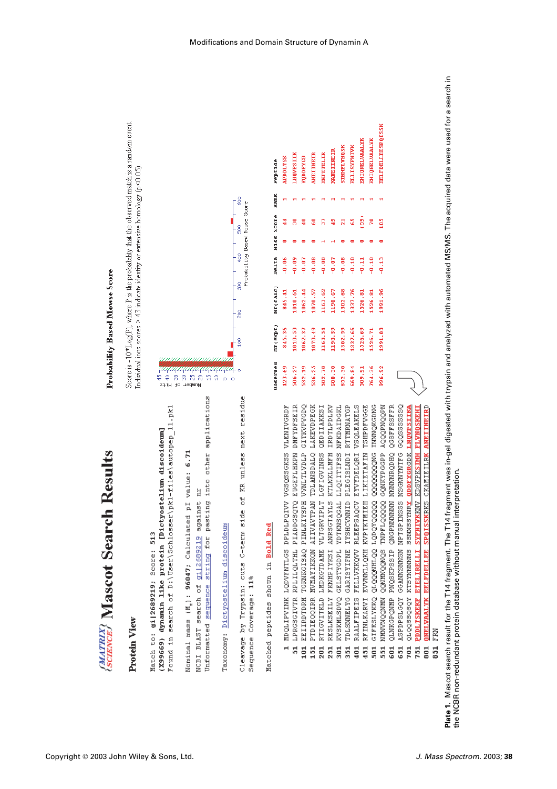

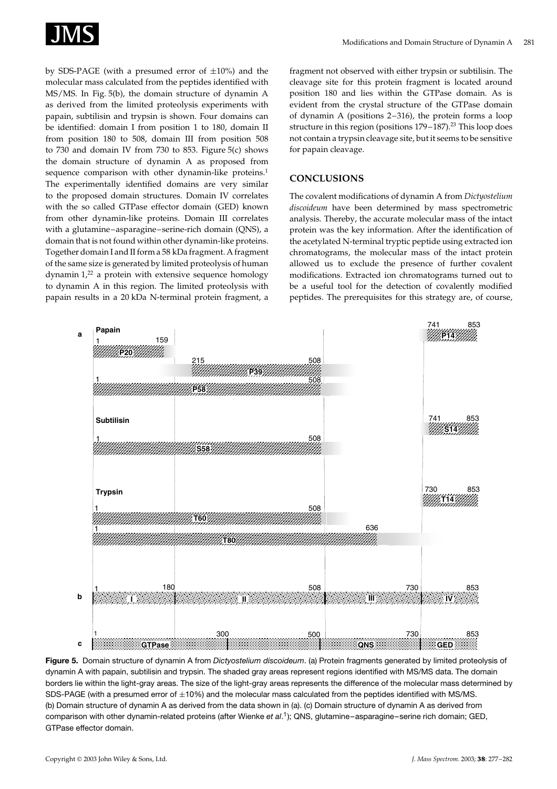

by SDS-PAGE (with a presumed error of  $\pm 10\%$ ) and the molecular mass calculated from the peptides identified with MS/MS. In Fig. 5(b), the domain structure of dynamin A as derived from the limited proteolysis experiments with papain, subtilisin and trypsin is shown. Four domains can be identified: domain I from position 1 to 180, domain II from position 180 to 508, domain III from position 508 to 730 and domain IV from 730 to 853. Figure 5(c) shows the domain structure of dynamin A as proposed from sequence comparison with other dynamin-like proteins.<sup>1</sup> The experimentally identified domains are very similar to the proposed domain structures. Domain IV correlates with the so called GTPase effector domain (GED) known from other dynamin-like proteins. Domain III correlates with a glutamine–asparagine–serine-rich domain (QNS), a domain that is not found within other dynamin-like proteins. Together domain I and II form a 58 kDa fragment. A fragment of the same size is generated by limited proteolysis of human dynamin  $1<sup>22</sup>$  a protein with extensive sequence homology to dynamin A in this region. The limited proteolysis with papain results in a 20 kDa N-terminal protein fragment, a fragment not observed with either trypsin or subtilisin. The cleavage site for this protein fragment is located around position 180 and lies within the GTPase domain. As is evident from the crystal structure of the GTPase domain of dynamin A (positions 2–316), the protein forms a loop structure in this region (positions 179-187).<sup>23</sup> This loop does not contain a trypsin cleavage site, but it seems to be sensitive for papain cleavage.

# **CONCLUSIONS**

The covalent modifications of dynamin A from *Dictyostelium discoideum* have been determined by mass spectrometric analysis. Thereby, the accurate molecular mass of the intact protein was the key information. After the identification of the acetylated N-terminal tryptic peptide using extracted ion chromatograms, the molecular mass of the intact protein allowed us to exclude the presence of further covalent modifications. Extracted ion chromatograms turned out to be a useful tool for the detection of covalently modified peptides. The prerequisites for this strategy are, of course,



**Figure 5.** Domain structure of dynamin A from *Dictyostelium discoideum*. (a) Protein fragments generated by limited proteolysis of dynamin A with papain, subtilisin and trypsin. The shaded gray areas represent regions identified with MS/MS data. The domain borders lie within the light-gray areas. The size of the light-gray areas represents the difference of the molecular mass determined by SDS-PAGE (with a presumed error of  $\pm 10\%$ ) and the molecular mass calculated from the peptides identified with MS/MS. (b) Domain structure of dynamin A as derived from the data shown in (a). (c) Domain structure of dynamin A as derived from comparison with other dynamin-related proteins (after Wienke *et al*. 1); QNS, glutamine–asparagine–serine rich domain; GED, GTPase effector domain.